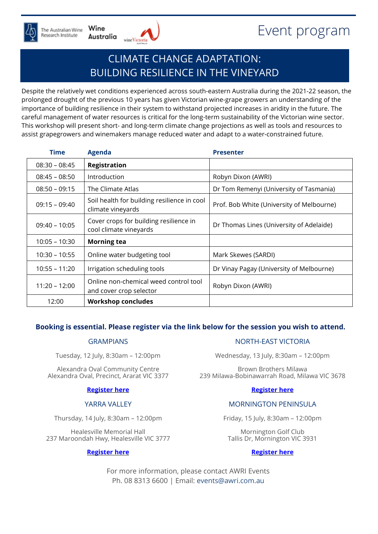



# CLIMATE CHANGE ADAPTATION: BUILDING RESILIENCE IN THE VINEYARD

Despite the relatively wet conditions experienced across south-eastern Australia during the 2021-22 season, the prolonged drought of the previous 10 years has given Victorian wine-grape growers an understanding of the importance of building resilience in their system to withstand projected increases in aridity in the future. The careful management of water resources is critical for the long-term sustainability of the Victorian wine sector. This workshop will present short- and long-term climate change projections as well as tools and resources to assist grapegrowers and winemakers manage reduced water and adapt to a water-constrained future.

| <b>Time</b>     | <b>Agenda</b>                                                    | <b>Presenter</b>                          |
|-----------------|------------------------------------------------------------------|-------------------------------------------|
| $08:30 - 08:45$ | <b>Registration</b>                                              |                                           |
| $08:45 - 08:50$ | Introduction                                                     | Robyn Dixon (AWRI)                        |
| $08:50 - 09:15$ | The Climate Atlas                                                | Dr Tom Remenyi (University of Tasmania)   |
| $09:15 - 09:40$ | Soil health for building resilience in cool<br>climate vineyards | Prof. Bob White (University of Melbourne) |
| $09:40 - 10:05$ | Cover crops for building resilience in<br>cool climate vineyards | Dr Thomas Lines (University of Adelaide)  |
| $10:05 - 10:30$ | <b>Morning tea</b>                                               |                                           |
| $10:30 - 10:55$ | Online water budgeting tool                                      | Mark Skewes (SARDI)                       |
| $10:55 - 11:20$ | Irrigation scheduling tools                                      | Dr Vinay Pagay (University of Melbourne)  |
| $11:20 - 12:00$ | Online non-chemical weed control tool<br>and cover crop selector | Robyn Dixon (AWRI)                        |
| 12:00           | <b>Workshop concludes</b>                                        |                                           |

## **Booking is essential. Please register via the link below for the session you wish to attend.**

## GRAMPIANS

Tuesday, 12 July, 8:30am – 12:00pm

Alexandra Oval Community Centre Alexandra Oval, Precinct, Ararat VIC 3377

#### **[Register](https://www.awri.com.au/events/climate-change-adaptation-building-resilience-in-the-vineyard-grampians/) here**

## YARRA VALLEY

Thursday, 14 July, 8:30am – 12:00pm

Healesville Memorial Hall 237 Maroondah Hwy, Healesville VIC 3777

#### **[Register](https://www.awri.com.au/events/climate-change-adaptation-building-resilience-in-the-vineyard-yarra-valley/) here**

#### NORTH-EAST VICTORIA

Wednesday, 13 July, 8:30am – 12:00pm

Brown Brothers Milawa 239 Milawa-Bobinawarrah Road, Milawa VIC 3678

#### **[Register](https://www.awri.com.au/events/climate-change-adaptation-building-resilience-in-the-vineyard-ne-victoria/) here**

## MORNINGTON PENINSULA

Friday, 15 July, 8:30am – 12:00pm

Mornington Golf Club Tallis Dr, Mornington VIC 3931

#### **[Register](https://www.awri.com.au/events/climate-change-adaptation-building-resilience-in-the-vineyard-mornington/) here**

For more information, please contact AWRI Events Ph. 08 8313 6600 | Email: [events@awri.com.au](mailto:events@awri.com.au)